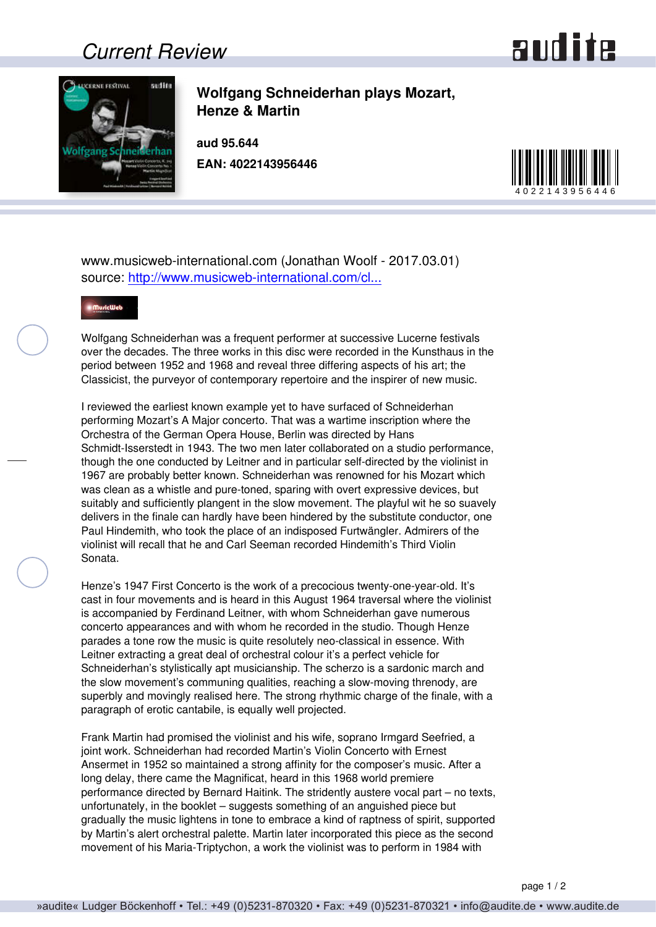## *Current Review*





**Wolfgang Schneiderhan plays Mozart, Henze & Martin**

**aud 95.644 EAN: 4022143956446**



www.musicweb-international.com (Jonathan Woolf - 2017.03.01) source: [http://www.musicweb-international.com/cl...](http://www.musicweb-international.com/classrev/2017/Mar/Schneiderhan_Lucerne_95644.htm)



Wolfgang Schneiderhan was a frequent performer at successive Lucerne festivals over the decades. The three works in this disc were recorded in the Kunsthaus in the period between 1952 and 1968 and reveal three differing aspects of his art; the Classicist, the purveyor of contemporary repertoire and the inspirer of new music.

I reviewed the earliest known example yet to have surfaced of Schneiderhan performing Mozart's A Major concerto. That was a wartime inscription where the Orchestra of the German Opera House, Berlin was directed by Hans Schmidt-Isserstedt in 1943. The two men later collaborated on a studio performance, though the one conducted by Leitner and in particular self-directed by the violinist in 1967 are probably better known. Schneiderhan was renowned for his Mozart which was clean as a whistle and pure-toned, sparing with overt expressive devices, but suitably and sufficiently plangent in the slow movement. The playful wit he so suavely delivers in the finale can hardly have been hindered by the substitute conductor, one Paul Hindemith, who took the place of an indisposed Furtwängler. Admirers of the violinist will recall that he and Carl Seeman recorded Hindemith's Third Violin Sonata.

Henze's 1947 First Concerto is the work of a precocious twenty-one-year-old. It's cast in four movements and is heard in this August 1964 traversal where the violinist is accompanied by Ferdinand Leitner, with whom Schneiderhan gave numerous concerto appearances and with whom he recorded in the studio. Though Henze parades a tone row the music is quite resolutely neo-classical in essence. With Leitner extracting a great deal of orchestral colour it's a perfect vehicle for Schneiderhan's stylistically apt musicianship. The scherzo is a sardonic march and the slow movement's communing qualities, reaching a slow-moving threnody, are superbly and movingly realised here. The strong rhythmic charge of the finale, with a paragraph of erotic cantabile, is equally well projected.

Frank Martin had promised the violinist and his wife, soprano Irmgard Seefried, a joint work. Schneiderhan had recorded Martin's Violin Concerto with Ernest Ansermet in 1952 so maintained a strong affinity for the composer's music. After a long delay, there came the Magnificat, heard in this 1968 world premiere performance directed by Bernard Haitink. The stridently austere vocal part – no texts, unfortunately, in the booklet – suggests something of an anguished piece but gradually the music lightens in tone to embrace a kind of raptness of spirit, supported by Martin's alert orchestral palette. Martin later incorporated this piece as the second movement of his Maria-Triptychon, a work the violinist was to perform in 1984 with